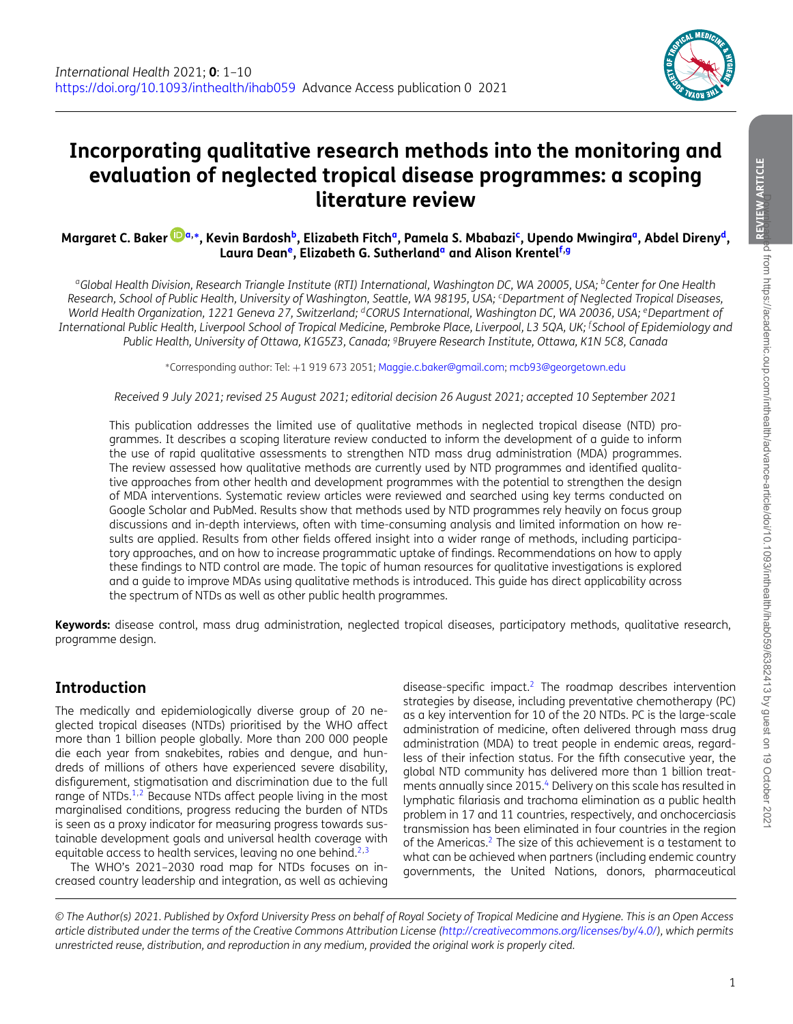

**REVIEW ARTICLE**

<span id="page-0-6"></span><span id="page-0-5"></span><span id="page-0-3"></span><span id="page-0-2"></span>Downloaded from https://academic.oup.com/inthealth/advance-article/doi/10.1093/inthealth/ihab059/6382413 by guest on 19 October 2021

# **Incorporating qualitative research methods into the monitoring and evaluation of neglected tropical disease programmes: a scoping literature review**

#### **Margaret C. Baker [a,](#page-0-0)[∗](#page-0-1), Kevin Bardosh[b,](#page-0-2) Elizabeth Fitc[ha,](#page-0-0) Pamela S. Mbabaz[ic,](#page-0-3) Upendo Mwingir[aa,](#page-0-0) Abdel Diren[yd,](#page-0-4) Laura Dea[ne,](#page-0-5) Elizabeth G. Sutherlan[da](#page-0-0) and Alison Krente[lf](#page-0-6)[,g](#page-0-7)**

<span id="page-0-0"></span>*aGlobal Health Division, Research Triangle Institute (RTI) International, Washington DC, WA 20005, USA; bCenter for One Health Research, School of Public Health, University of Washington, Seattle, WA 98195, USA; cDepartment of Neglected Tropical Diseases, World Health Organization, 1221 Geneva 27, Switzerland; dCORUS International, Washington DC, WA 20036, USA; eDepartment of International Public Health, Liverpool School of Tropical Medicine, Pembroke Place, Liverpool, L3 5QA, UK; <sup>f</sup> School of Epidemiology and Public Health, University of Ottawa, K1G5Z3, Canada; gBruyere Research Institute, Ottawa, K1N 5C8, Canada*

<span id="page-0-7"></span><span id="page-0-4"></span><span id="page-0-1"></span><sup>∗</sup>Corresponding author: Tel: +1 919 673 2051; [Maggie.c.baker@gmail.com;](mailto:Maggie.c.baker@gmail.com) [mcb93@georgetown.edu](mailto:mcb93@georgetown.edu)

#### *Received 9 July 2021; revised 25 August 2021; editorial decision 26 August 2021; accepted 10 September 2021*

This publication addresses the limited use of qualitative methods in neglected tropical disease (NTD) programmes. It describes a scoping literature review conducted to inform the development of a guide to inform the use of rapid qualitative assessments to strengthen NTD mass drug administration (MDA) programmes. The review assessed how qualitative methods are currently used by NTD programmes and identified qualitative approaches from other health and development programmes with the potential to strengthen the design of MDA interventions. Systematic review articles were reviewed and searched using key terms conducted on Google Scholar and PubMed. Results show that methods used by NTD programmes rely heavily on focus group discussions and in-depth interviews, often with time-consuming analysis and limited information on how results are applied. Results from other fields offered insight into a wider range of methods, including participatory approaches, and on how to increase programmatic uptake of findings. Recommendations on how to apply these findings to NTD control are made. The topic of human resources for qualitative investigations is explored and a guide to improve MDAs using qualitative methods is introduced. This guide has direct applicability across the spectrum of NTDs as well as other public health programmes.

**Keywords:** disease control, mass drug administration, neglected tropical diseases, participatory methods, qualitative research, programme design.

#### **Introduction**

The medically and epidemiologically diverse group of 20 neglected tropical diseases (NTDs) prioritised by the WHO affect more than 1 billion people globally. More than 200 000 people die each year from snakebites, rabies and dengue, and hundreds of millions of others have experienced severe disability, disfigurement, stigmatisation and discrimination due to the full range of NTDs. $1,2$  $1,2$  Because NTDs affect people living in the most marginalised conditions, progress reducing the burden of NTDs is seen as a proxy indicator for measuring progress towards sustainable development goals and universal health coverage with equitable access to health services, leaving no one behind.<sup>2,[3](#page-6-2)</sup>

The WHO's 2021–2030 road map for NTDs focuses on increased country leadership and integration, as well as achieving

disease-specific impact[.2](#page-6-1) The roadmap describes intervention strategies by disease, including preventative chemotherapy (PC) as a key intervention for 10 of the 20 NTDs. PC is the large-scale administration of medicine, often delivered through mass drug administration (MDA) to treat people in endemic areas, regardless of their infection status. For the fifth consecutive year, the global NTD community has delivered more than 1 billion treat-ments annually since 2015.<sup>[4](#page-6-3)</sup> Delivery on this scale has resulted in lymphatic filariasis and trachoma elimination as a public health problem in 17 and 11 countries, respectively, and onchocerciasis transmission has been eliminated in four countries in the region of the Americas.<sup>2</sup> The size of this achievement is a testament to what can be achieved when partners (including endemic country governments, the United Nations, donors, pharmaceutical

*© The Author(s) 2021. Published by Oxford University Press on behalf of Royal Society of Tropical Medicine and Hygiene. This is an Open Access article distributed under the terms of the Creative Commons Attribution License [\(http://creativecommons.org/licenses/by/4.0/\)](http://creativecommons.org/licenses/by/4.0/), which permits unrestricted reuse, distribution, and reproduction in any medium, provided the original work is properly cited.*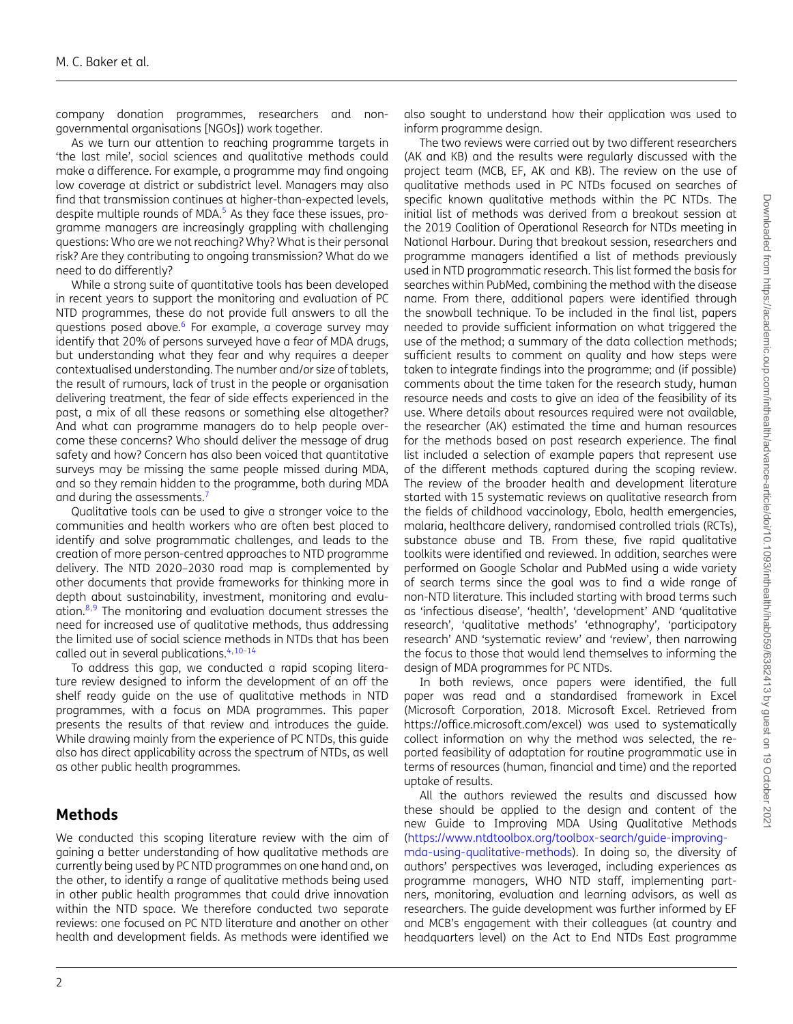company donation programmes, researchers and nongovernmental organisations [NGOs]) work together.

As we turn our attention to reaching programme targets in 'the last mile', social sciences and qualitative methods could make a difference. For example, a programme may find ongoing low coverage at district or subdistrict level. Managers may also find that transmission continues at higher-than-expected levels, despite multiple rounds of MDA.<sup>5</sup> As they face these issues, programme managers are increasingly grappling with challenging questions: Who are we not reaching? Why? What is their personal risk? Are they contributing to ongoing transmission? What do we need to do differently?

While a strong suite of quantitative tools has been developed in recent years to support the monitoring and evaluation of PC NTD programmes, these do not provide full answers to all the questions posed above. $6$  For example, a coverage survey may identify that 20% of persons surveyed have a fear of MDA drugs, but understanding what they fear and why requires a deeper contextualised understanding. The number and/or size of tablets, the result of rumours, lack of trust in the people or organisation delivering treatment, the fear of side effects experienced in the past, a mix of all these reasons or something else altogether? And what can programme managers do to help people overcome these concerns? Who should deliver the message of drug safety and how? Concern has also been voiced that quantitative surveys may be missing the same people missed during MDA, and so they remain hidden to the programme, both during MDA and during the assessments.<sup>7</sup>

Qualitative tools can be used to give a stronger voice to the communities and health workers who are often best placed to identify and solve programmatic challenges, and leads to the creation of more person-centred approaches to NTD programme delivery. The NTD 2020–2030 road map is complemented by other documents that provide frameworks for thinking more in depth about sustainability, investment, monitoring and evaluation. $8,9$  $8,9$  The monitoring and evaluation document stresses the need for increased use of qualitative methods, thus addressing the limited use of social science methods in NTDs that has been called out in several publications.<sup>4,10-[14](#page-6-10)</sup>

To address this gap, we conducted a rapid scoping literature review designed to inform the development of an off the shelf ready guide on the use of qualitative methods in NTD programmes, with a focus on MDA programmes. This paper presents the results of that review and introduces the guide. While drawing mainly from the experience of PC NTDs, this guide also has direct applicability across the spectrum of NTDs, as well as other public health programmes.

## **Methods**

We conducted this scoping literature review with the aim of gaining a better understanding of how qualitative methods are currently being used by PC NTD programmes on one hand and, on the other, to identify a range of qualitative methods being used in other public health programmes that could drive innovation within the NTD space. We therefore conducted two separate reviews: one focused on PC NTD literature and another on other health and development fields. As methods were identified we

also sought to understand how their application was used to inform programme design.

The two reviews were carried out by two different researchers (AK and KB) and the results were regularly discussed with the project team (MCB, EF, AK and KB). The review on the use of qualitative methods used in PC NTDs focused on searches of specific known qualitative methods within the PC NTDs. The initial list of methods was derived from a breakout session at the 2019 Coalition of Operational Research for NTDs meeting in National Harbour. During that breakout session, researchers and programme managers identified a list of methods previously used in NTD programmatic research. This list formed the basis for searches within PubMed, combining the method with the disease name. From there, additional papers were identified through the snowball technique. To be included in the final list, papers needed to provide sufficient information on what triggered the use of the method; a summary of the data collection methods; sufficient results to comment on quality and how steps were taken to integrate findings into the programme; and (if possible) comments about the time taken for the research study, human resource needs and costs to give an idea of the feasibility of its use. Where details about resources required were not available, the researcher (AK) estimated the time and human resources for the methods based on past research experience. The final list included a selection of example papers that represent use of the different methods captured during the scoping review. The review of the broader health and development literature started with 15 systematic reviews on qualitative research from the fields of childhood vaccinology, Ebola, health emergencies, malaria, healthcare delivery, randomised controlled trials (RCTs), substance abuse and TB. From these, five rapid qualitative toolkits were identified and reviewed. In addition, searches were performed on Google Scholar and PubMed using a wide variety of search terms since the goal was to find a wide range of non-NTD literature. This included starting with broad terms such as 'infectious disease', 'health', 'development' AND 'qualitative research', 'qualitative methods' 'ethnography', 'participatory research' AND 'systematic review' and 'review', then narrowing the focus to those that would lend themselves to informing the design of MDA programmes for PC NTDs.

In both reviews, once papers were identified, the full paper was read and a standardised framework in Excel (Microsoft Corporation, 2018. Microsoft Excel. Retrieved from https://office.microsoft.com/excel) was used to systematically collect information on why the method was selected, the reported feasibility of adaptation for routine programmatic use in terms of resources (human, financial and time) and the reported uptake of results.

All the authors reviewed the results and discussed how these should be applied to the design and content of the new Guide to Improving MDA Using Qualitative Methods (https://www.ntdtoolbox.org/toolbox-search/guide-improving[mda-using-qualitative-methods\). In doing so, the diversity of](https://www.ntdtoolbox.org/toolbox-search/guide-improving-mda-using-qualitative-methods) authors' perspectives was leveraged, including experiences as programme managers, WHO NTD staff, implementing part-

ners, monitoring, evaluation and learning advisors, as well as researchers. The guide development was further informed by EF and MCB's engagement with their colleagues (at country and headquarters level) on the Act to End NTDs East programme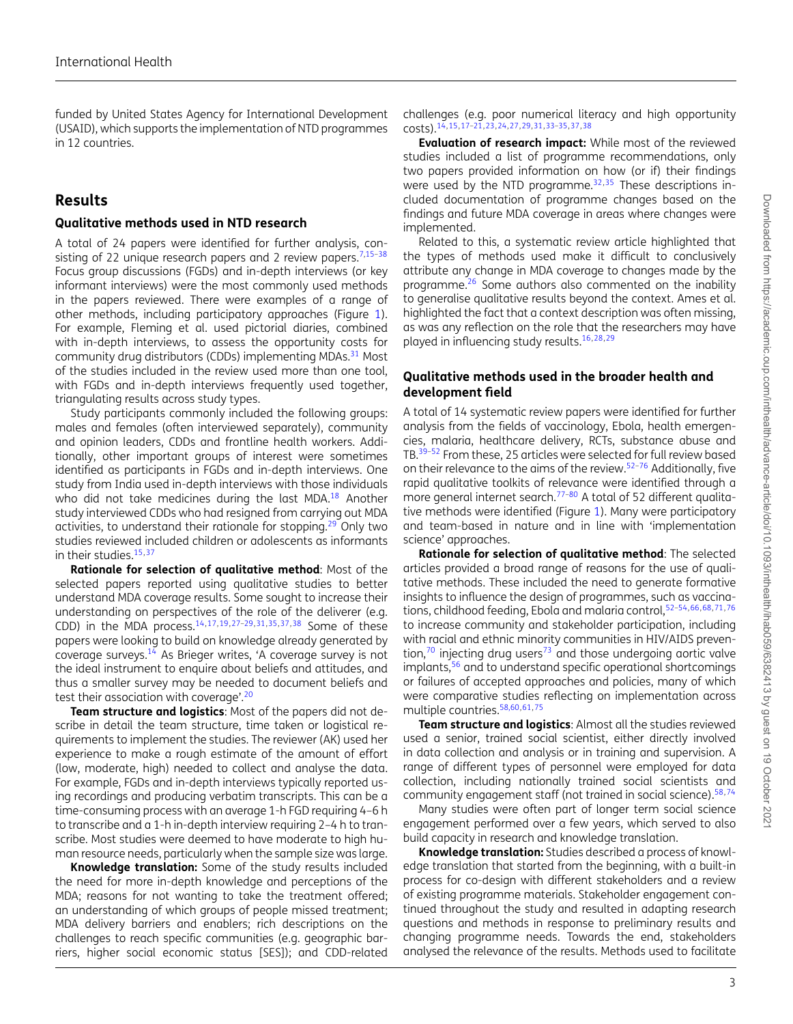funded by United States Agency for International Development (USAID), which supports the implementation of NTD programmes in 12 countries.

### **Results**

#### **Qualitative methods used in NTD research**

A total of 24 papers were identified for further analysis, con-sisting of 22 unique research papers and 2 review papers.<sup>[7](#page-6-6)[,15](#page-6-11)-38</sup> Focus group discussions (FGDs) and in-depth interviews (or key informant interviews) were the most commonly used methods in the papers reviewed. There were examples of a range of other methods, including participatory approaches (Figure [1\)](#page-3-0). For example, Fleming et al. used pictorial diaries, combined with in-depth interviews, to assess the opportunity costs for community drug distributors (CDDs) implementing MDAs.<sup>31</sup> Most of the studies included in the review used more than one tool, with FGDs and in-depth interviews frequently used together, triangulating results across study types.

Study participants commonly included the following groups: males and females (often interviewed separately), community and opinion leaders, CDDs and frontline health workers. Additionally, other important groups of interest were sometimes identified as participants in FGDs and in-depth interviews. One study from India used in-depth interviews with those individuals who did not take medicines during the last MDA.<sup>[18](#page-7-2)</sup> Another study interviewed CDDs who had resigned from carrying out MDA activities, to understand their rationale for stopping.<sup>29</sup> Only two studies reviewed included children or adolescents as informants in their studies.[15,](#page-6-11)[37](#page-7-4)

**Rationale for selection of qualitative method**: Most of the selected papers reported using qualitative studies to better understand MDA coverage results. Some sought to increase their understanding on perspectives of the role of the deliverer (e.g. CDD) in the MDA process.[14](#page-6-10)[,17,](#page-7-5)[19,](#page-7-6)[27–](#page-7-7)[29,](#page-7-3)[31](#page-7-1)[,35,](#page-7-8)[37,](#page-7-4)[38](#page-7-0) Some of these papers were looking to build on knowledge already generated by coverage surveys.<sup>14</sup> As Brieger writes, 'A coverage survey is not the ideal instrument to enquire about beliefs and attitudes, and thus a smaller survey may be needed to document beliefs and test their association with coverage'*.* [20](#page-7-9)

**Team structure and logistics**: Most of the papers did not describe in detail the team structure, time taken or logistical requirements to implement the studies. The reviewer (AK) used her experience to make a rough estimate of the amount of effort (low, moderate, high) needed to collect and analyse the data. For example, FGDs and in-depth interviews typically reported using recordings and producing verbatim transcripts. This can be a time-consuming process with an average 1-h FGD requiring 4–6 h to transcribe and a 1-h in-depth interview requiring 2–4 h to transcribe. Most studies were deemed to have moderate to high human resource needs, particularly when the sample size was large.

**Knowledge translation:** Some of the study results included the need for more in-depth knowledge and perceptions of the MDA; reasons for not wanting to take the treatment offered; an understanding of which groups of people missed treatment; MDA delivery barriers and enablers; rich descriptions on the challenges to reach specific communities (e.g. geographic barriers, higher social economic status [SES]); and CDD-related

challenges (e.g. poor numerical literacy and high opportunity costs)[.14,](#page-6-10)[15,](#page-6-11)[17–](#page-7-5)[21,](#page-7-10)[23,](#page-7-11)[24,](#page-7-12)[27,](#page-7-7)[29](#page-7-3)[,31,](#page-7-1)[33–](#page-7-13)[35](#page-7-8)[,37,](#page-7-4)[38](#page-7-0)

**Evaluation of research impact:** While most of the reviewed studies included a list of programme recommendations, only two papers provided information on how (or if) their findings were used by the NTD programme.<sup>[32,](#page-7-14)[35](#page-7-8)</sup> These descriptions included documentation of programme changes based on the findings and future MDA coverage in areas where changes were implemented.

Related to this, a systematic review article highlighted that the types of methods used make it difficult to conclusively attribute any change in MDA coverage to changes made by the programme.<sup>26</sup> Some authors also commented on the inability to generalise qualitative results beyond the context. Ames et al. highlighted the fact that a context description was often missing, as was any reflection on the role that the researchers may have played in influencing study results.<sup>[16,](#page-6-12)[28,](#page-7-16)[29](#page-7-3)</sup>

#### **Qualitative methods used in the broader health and development field**

A total of 14 systematic review papers were identified for further analysis from the fields of vaccinology, Ebola, health emergencies, malaria, healthcare delivery, RCTs, substance abuse and TB[.39](#page-7-17)[–52](#page-8-0) From these, 25 articles were selected for full review based on their relevance to the aims of the review.<sup>52-[76](#page-8-1)</sup> Additionally, five rapid qualitative toolkits of relevance were identified through a more general internet search.<sup>77-[80](#page-8-3)</sup> A total of 52 different qualitative methods were identified (Figure [1\)](#page-3-0). Many were participatory and team-based in nature and in line with 'implementation science' approaches.

**Rationale for selection of qualitative method**: The selected articles provided a broad range of reasons for the use of qualitative methods. These included the need to generate formative insights to influence the design of programmes, such as vaccina-tions, childhood feeding, Ebola and malaria control, <sup>52-54[,66,](#page-8-5)[68,](#page-8-6)[71](#page-8-7)[,76](#page-8-1)</sup> to increase community and stakeholder participation, including with racial and ethnic minority communities in HIV/AIDS prevention, $70$  injecting drug users $73$  and those undergoing aortic valve implants,<sup>56</sup> and to understand specific operational shortcomings or failures of accepted approaches and policies, many of which were comparative studies reflecting on implementation across multiple countries[.58,60,](#page-8-11)[61,](#page-8-12)[75](#page-8-13)

**Team structure and logistics**: Almost all the studies reviewed used a senior, trained social scientist, either directly involved in data collection and analysis or in training and supervision. A range of different types of personnel were employed for data collection, including nationally trained social scientists and community engagement staff (not trained in social science)[.58](#page-8-14)[,74](#page-8-15)

Many studies were often part of longer term social science engagement performed over a few years, which served to also build capacity in research and knowledge translation.

**Knowledge translation:** Studies described a process of knowledge translation that started from the beginning, with a built-in process for co-design with different stakeholders and a review of existing programme materials. Stakeholder engagement continued throughout the study and resulted in adapting research questions and methods in response to preliminary results and changing programme needs. Towards the end, stakeholders analysed the relevance of the results. Methods used to facilitate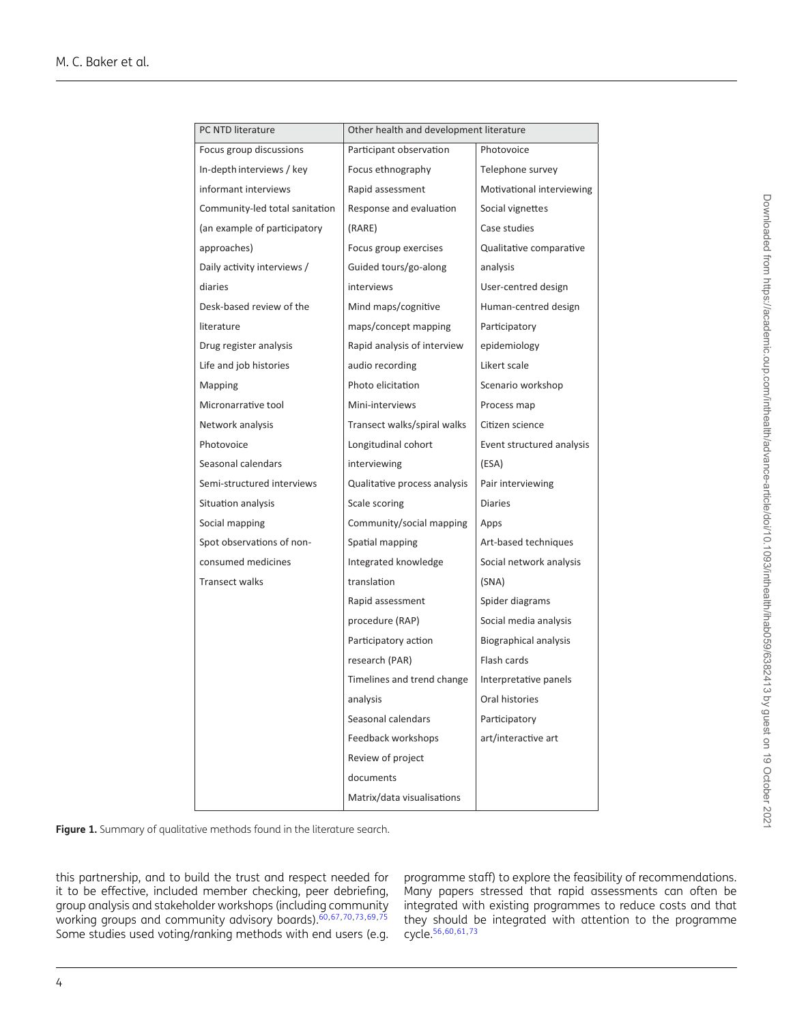<span id="page-3-0"></span>

| PC NTD literature              | Other health and development literature |                           |
|--------------------------------|-----------------------------------------|---------------------------|
| Focus group discussions        | Participant observation                 | Photovoice                |
| In-depth interviews / key      | Focus ethnography                       | Telephone survey          |
| informant interviews           | Rapid assessment                        | Motivational interviewing |
| Community-led total sanitation | Response and evaluation                 | Social vignettes          |
| (an example of participatory   | (RARE)                                  | Case studies              |
| approaches)                    | Focus group exercises                   | Qualitative comparative   |
| Daily activity interviews /    | Guided tours/go-along                   | analysis                  |
| diaries                        | interviews                              | User-centred design       |
| Desk-based review of the       | Mind maps/cognitive                     | Human-centred design      |
| literature                     | maps/concept mapping                    | Participatory             |
| Drug register analysis         | Rapid analysis of interview             | epidemiology              |
| Life and job histories         | audio recording                         | Likert scale              |
| Mapping                        | Photo elicitation                       | Scenario workshop         |
| Micronarrative tool            | Mini-interviews                         | Process map               |
| Network analysis               | Transect walks/spiral walks             | Citizen science           |
| Photovoice                     | Longitudinal cohort                     | Event structured analysis |
| Seasonal calendars             | interviewing                            | (ESA)                     |
| Semi-structured interviews     | Qualitative process analysis            | Pair interviewing         |
| Situation analysis             | Scale scoring                           | <b>Diaries</b>            |
| Social mapping                 | Community/social mapping                | Apps                      |
| Spot observations of non-      | Spatial mapping                         | Art-based techniques      |
| consumed medicines             | Integrated knowledge                    | Social network analysis   |
| <b>Transect walks</b>          | translation                             | (SNA)                     |
|                                | Rapid assessment                        | Spider diagrams           |
|                                | procedure (RAP)                         | Social media analysis     |
|                                | Participatory action                    | Biographical analysis     |
|                                | research (PAR)                          | Flash cards               |
|                                | Timelines and trend change              | Interpretative panels     |
|                                | analysis                                | Oral histories            |
|                                | Seasonal calendars                      | Participatory             |
|                                | Feedback workshops                      | art/interactive art       |
|                                | Review of project                       |                           |
|                                | documents                               |                           |
|                                | Matrix/data visualisations              |                           |

**Figure 1.** Summary of qualitative methods found in the literature search.

this partnership, and to build the trust and respect needed for it to be effective, included member checking, peer debriefing, group analysis and stakeholder workshops (including community working groups and community advisory boards).<sup>60,[67,](#page-8-16)[70](#page-8-8)[,73,](#page-8-9)[69,](#page-8-17)[75](#page-8-13)</sup> Some studies used voting/ranking methods with end users (e.g.

programme staff) to explore the feasibility of recommendations. Many papers stressed that rapid assessments can often be integrated with existing programmes to reduce costs and that they should be integrated with attention to the programme cycle[.56,](#page-8-10)[60,](#page-8-11)[61](#page-8-12)[,73](#page-8-9)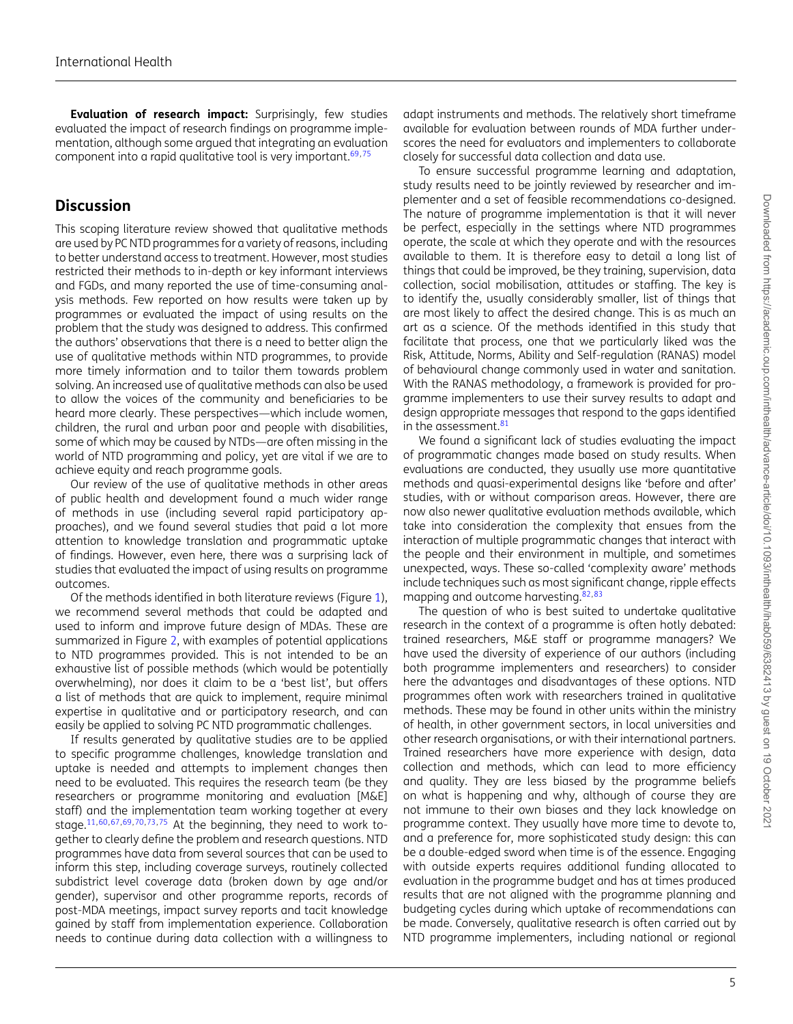**Evaluation of research impact:** Surprisingly, few studies evaluated the impact of research findings on programme implementation, although some argued that integrating an evaluation component into a rapid qualitative tool is very important.  $69,75$  $69,75$ 

# **Discussion**

This scoping literature review showed that qualitative methods are used by PC NTD programmes for a variety of reasons, including to better understand access to treatment. However, most studies restricted their methods to in-depth or key informant interviews and FGDs, and many reported the use of time-consuming analysis methods. Few reported on how results were taken up by programmes or evaluated the impact of using results on the problem that the study was designed to address. This confirmed the authors' observations that there is a need to better align the use of qualitative methods within NTD programmes, to provide more timely information and to tailor them towards problem solving. An increased use of qualitative methods can also be used to allow the voices of the community and beneficiaries to be heard more clearly. These perspectives—which include women, children, the rural and urban poor and people with disabilities, some of which may be caused by NTDs—are often missing in the world of NTD programming and policy, yet are vital if we are to achieve equity and reach programme goals.

Our review of the use of qualitative methods in other areas of public health and development found a much wider range of methods in use (including several rapid participatory approaches), and we found several studies that paid a lot more attention to knowledge translation and programmatic uptake of findings. However, even here, there was a surprising lack of studies that evaluated the impact of using results on programme outcomes.

Of the methods identified in both literature reviews (Figure [1\)](#page-3-0), we recommend several methods that could be adapted and used to inform and improve future design of MDAs. These are summarized in Figure [2,](#page-5-0) with examples of potential applications to NTD programmes provided. This is not intended to be an exhaustive list of possible methods (which would be potentially overwhelming), nor does it claim to be a 'best list', but offers a list of methods that are quick to implement, require minimal expertise in qualitative and or participatory research, and can easily be applied to solving PC NTD programmatic challenges.

If results generated by qualitative studies are to be applied to specific programme challenges, knowledge translation and uptake is needed and attempts to implement changes then need to be evaluated. This requires the research team (be they researchers or programme monitoring and evaluation [M&E] staff) and the implementation team working together at every stage. $11,60,67,69,70,73,75$  $11,60,67,69,70,73,75$  $11,60,67,69,70,73,75$  $11,60,67,69,70,73,75$  $11,60,67,69,70,73,75$  $11,60,67,69,70,73,75$  $11,60,67,69,70,73,75$  At the beginning, they need to work together to clearly define the problem and research questions. NTD programmes have data from several sources that can be used to inform this step, including coverage surveys, routinely collected subdistrict level coverage data (broken down by age and/or gender), supervisor and other programme reports, records of post-MDA meetings, impact survey reports and tacit knowledge gained by staff from implementation experience. Collaboration needs to continue during data collection with a willingness to

adapt instruments and methods. The relatively short timeframe available for evaluation between rounds of MDA further underscores the need for evaluators and implementers to collaborate closely for successful data collection and data use.

To ensure successful programme learning and adaptation, study results need to be jointly reviewed by researcher and implementer and a set of feasible recommendations co-designed. The nature of programme implementation is that it will never be perfect, especially in the settings where NTD programmes operate, the scale at which they operate and with the resources available to them. It is therefore easy to detail a long list of things that could be improved, be they training, supervision, data collection, social mobilisation, attitudes or staffing. The key is to identify the, usually considerably smaller, list of things that are most likely to affect the desired change. This is as much an art as a science. Of the methods identified in this study that facilitate that process, one that we particularly liked was the Risk, Attitude, Norms, Ability and Self-regulation (RANAS) model of behavioural change commonly used in water and sanitation. With the RANAS methodology, a framework is provided for programme implementers to use their survey results to adapt and design appropriate messages that respond to the gaps identified in the assessment. $81$ 

We found a significant lack of studies evaluating the impact of programmatic changes made based on study results. When evaluations are conducted, they usually use more quantitative methods and quasi-experimental designs like 'before and after' studies, with or without comparison areas. However, there are now also newer qualitative evaluation methods available, which take into consideration the complexity that ensues from the interaction of multiple programmatic changes that interact with the people and their environment in multiple, and sometimes unexpected, ways. These so-called 'complexity aware' methods include techniques such as most significant change, ripple effects mapping and outcome harvesting.<sup>82,[83](#page-9-2)</sup>

The question of who is best suited to undertake qualitative research in the context of a programme is often hotly debated: trained researchers, M&E staff or programme managers? We have used the diversity of experience of our authors (including both programme implementers and researchers) to consider here the advantages and disadvantages of these options. NTD programmes often work with researchers trained in qualitative methods. These may be found in other units within the ministry of health, in other government sectors, in local universities and other research organisations, or with their international partners. Trained researchers have more experience with design, data collection and methods, which can lead to more efficiency and quality. They are less biased by the programme beliefs on what is happening and why, although of course they are not immune to their own biases and they lack knowledge on programme context. They usually have more time to devote to, and a preference for, more sophisticated study design: this can be a double-edged sword when time is of the essence. Engaging with outside experts requires additional funding allocated to evaluation in the programme budget and has at times produced results that are not aligned with the programme planning and budgeting cycles during which uptake of recommendations can be made. Conversely, qualitative research is often carried out by NTD programme implementers, including national or regional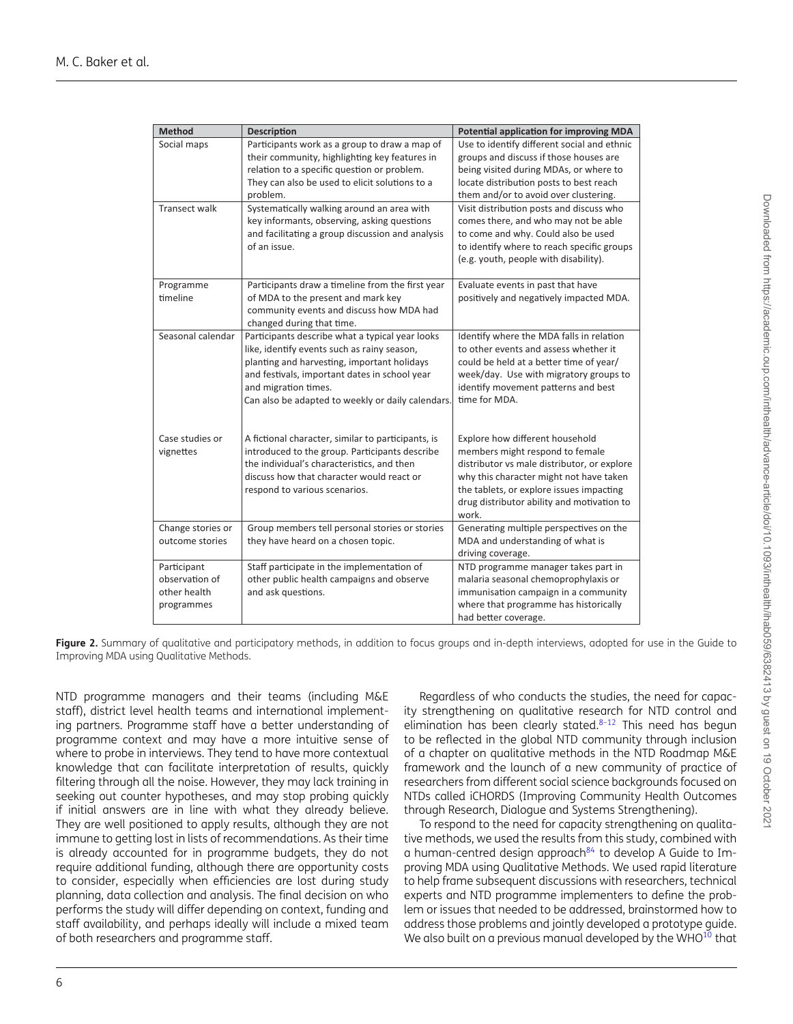<span id="page-5-0"></span>

| <b>Method</b>                                               | <b>Description</b>                                                                                                                                                                                                                                                          | <b>Potential application for improving MDA</b>                                                                                                                                                                                                                  |
|-------------------------------------------------------------|-----------------------------------------------------------------------------------------------------------------------------------------------------------------------------------------------------------------------------------------------------------------------------|-----------------------------------------------------------------------------------------------------------------------------------------------------------------------------------------------------------------------------------------------------------------|
| Social maps                                                 | Participants work as a group to draw a map of<br>their community, highlighting key features in<br>relation to a specific question or problem.<br>They can also be used to elicit solutions to a<br>problem.                                                                 | Use to identify different social and ethnic<br>groups and discuss if those houses are<br>being visited during MDAs, or where to<br>locate distribution posts to best reach<br>them and/or to avoid over clustering.                                             |
| <b>Transect walk</b>                                        | Systematically walking around an area with<br>key informants, observing, asking questions<br>and facilitating a group discussion and analysis<br>of an issue.                                                                                                               | Visit distribution posts and discuss who<br>comes there, and who may not be able<br>to come and why. Could also be used<br>to identify where to reach specific groups<br>(e.g. youth, people with disability).                                                  |
| Programme<br>timeline                                       | Participants draw a timeline from the first year<br>of MDA to the present and mark key<br>community events and discuss how MDA had<br>changed during that time.                                                                                                             | Evaluate events in past that have<br>positively and negatively impacted MDA.                                                                                                                                                                                    |
| Seasonal calendar                                           | Participants describe what a typical year looks<br>like, identify events such as rainy season,<br>planting and harvesting, important holidays<br>and festivals, important dates in school year<br>and migration times.<br>Can also be adapted to weekly or daily calendars. | Identify where the MDA falls in relation<br>to other events and assess whether it<br>could be held at a better time of year/<br>week/day. Use with migratory groups to<br>identify movement patterns and best<br>time for MDA.                                  |
| Case studies or<br>vignettes                                | A fictional character, similar to participants, is<br>introduced to the group. Participants describe<br>the individual's characteristics, and then<br>discuss how that character would react or<br>respond to various scenarios.                                            | Explore how different household<br>members might respond to female<br>distributor vs male distributor, or explore<br>why this character might not have taken<br>the tablets, or explore issues impacting<br>drug distributor ability and motivation to<br>work. |
| Change stories or<br>outcome stories                        | Group members tell personal stories or stories<br>they have heard on a chosen topic.                                                                                                                                                                                        | Generating multiple perspectives on the<br>MDA and understanding of what is<br>driving coverage.                                                                                                                                                                |
| Participant<br>observation of<br>other health<br>programmes | Staff participate in the implementation of<br>other public health campaigns and observe<br>and ask questions.                                                                                                                                                               | NTD programme manager takes part in<br>malaria seasonal chemoprophylaxis or<br>immunisation campaign in a community<br>where that programme has historically<br>had better coverage.                                                                            |

Figure 2. Summary of qualitative and participatory methods, in addition to focus groups and in-depth interviews, adopted for use in the Guide to Improving MDA using Qualitative Methods.

NTD programme managers and their teams (including M&E staff), district level health teams and international implementing partners. Programme staff have a better understanding of programme context and may have a more intuitive sense of where to probe in interviews. They tend to have more contextual knowledge that can facilitate interpretation of results, quickly filtering through all the noise. However, they may lack training in seeking out counter hypotheses, and may stop probing quickly if initial answers are in line with what they already believe. They are well positioned to apply results, although they are not immune to getting lost in lists of recommendations. As their time is already accounted for in programme budgets, they do not require additional funding, although there are opportunity costs to consider, especially when efficiencies are lost during study planning, data collection and analysis. The final decision on who performs the study will differ depending on context, funding and staff availability, and perhaps ideally will include a mixed team of both researchers and programme staff.

Regardless of who conducts the studies, the need for capacity strengthening on qualitative research for NTD control and elimination has been clearly stated. $8-12$  This need has begun to be reflected in the global NTD community through inclusion of a chapter on qualitative methods in the NTD Roadmap M&E framework and the launch of a new community of practice of researchers from different social science backgrounds focused on NTDs called iCHORDS (Improving Community Health Outcomes through Research, Dialogue and Systems Strengthening).

To respond to the need for capacity strengthening on qualitative methods, we used the results from this study, combined with a human-centred design approach $84$  to develop A Guide to Improving MDA using Qualitative Methods. We used rapid literature to help frame subsequent discussions with researchers, technical experts and NTD programme implementers to define the problem or issues that needed to be addressed, brainstormed how to address those problems and jointly developed a prototype guide. We also built on a previous manual developed by the WHO $10$  that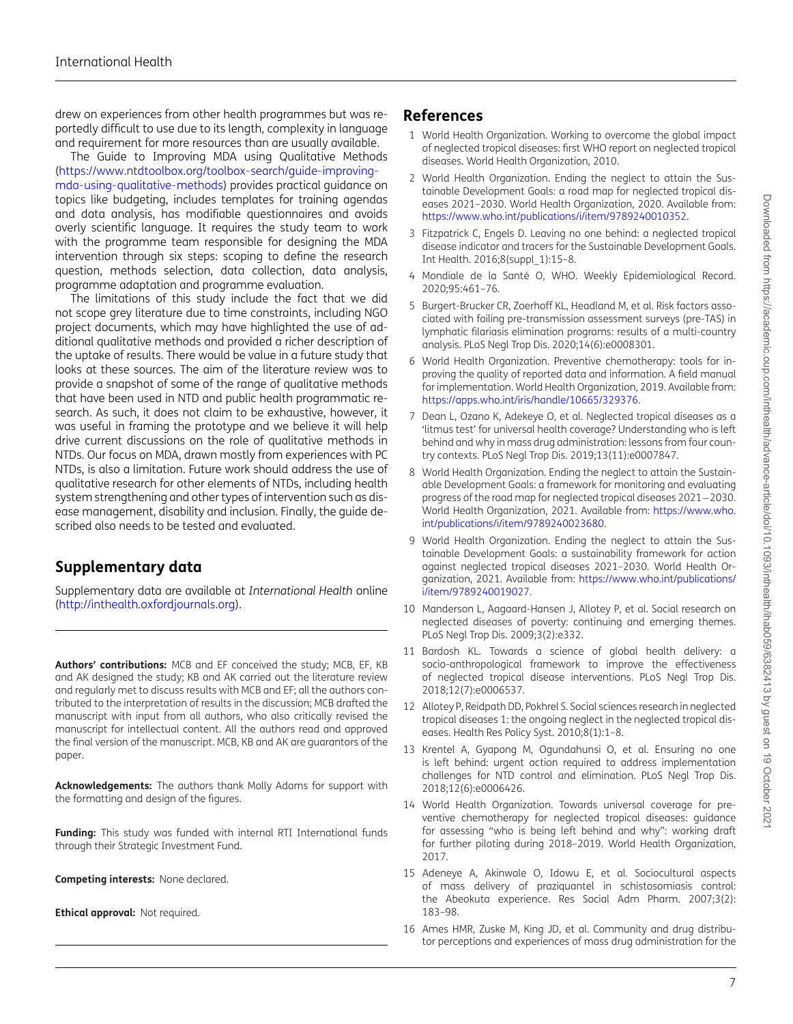drew on experiences from other health programmes but was reportedly difficult to use due to its length, complexity in language and requirement for more resources than are usually available.

The Guide to Improving MDA using Qualitative Methods (https://www.ntdtoolbox.org/toolbox-search/guide-improving[mda-using-qualitative-methods\) provides practical guidance on](https://www.ntdtoolbox.org/toolbox-search/guide-improving-mda-using-qualitative-methods) topics like budgeting, includes templates for training agendas and data analysis, has modifiable questionnaires and avoids overly scientific language. It requires the study team to work with the programme team responsible for designing the MDA intervention through six steps: scoping to define the research question, methods selection, data collection, data analysis, programme adaptation and programme evaluation.

The limitations of this study include the fact that we did not scope grey literature due to time constraints, including NGO project documents, which may have highlighted the use of additional qualitative methods and provided a richer description of the uptake of results. There would be value in a future study that looks at these sources. The aim of the literature review was to provide a snapshot of some of the range of qualitative methods that have been used in NTD and public health programmatic research. As such, it does not claim to be exhaustive, however, it was useful in framing the prototype and we believe it will help drive current discussions on the role of qualitative methods in NTDs. Our focus on MDA, drawn mostly from experiences with PC NTDs, is also a limitation. Future work should address the use of qualitative research for other elements of NTDs, including health system strengthening and other types of intervention such as disease management, disability and inclusion. Finally, the guide described also needs to be tested and evaluated.

## **Supplementary data**

Supplementary data are available at *International Health* online [\(http://inthealth.oxfordjournals.org\)](http://inthealth.oxfordjournals.org).

**Authors' contributions:** MCB and EF conceived the study; MCB, EF, KB and AK designed the study; KB and AK carried out the literature review and regularly met to discuss results with MCB and EF; all the authors contributed to the interpretation of results in the discussion; MCB drafted the manuscript with input from all authors, who also critically revised the manuscript for intellectual content. All the authors read and approved the final version of the manuscript. MCB, KB and AK are guarantors of the paper.

**Acknowledgements:** The authors thank Molly Adams for support with the formatting and design of the figures.

**Funding:** This study was funded with internal RTI International funds through their Strategic Investment Fund.

**Competing interests:** None declared.

**Ethical approval:** Not required.

### **References**

- <span id="page-6-0"></span>1 World Health Organization. Working to overcome the global impact of neglected tropical diseases: first WHO report on neglected tropical diseases. World Health Organization, 2010.
- <span id="page-6-1"></span>2 World Health Organization. Ending the neglect to attain the Sustainable Development Goals: a road map for neglected tropical diseases 2021–2030. World Health Organization, 2020. Available from: [https://www.who.int/publications/i/item/9789240010352.](https://www.who.int/publications/i/item/978924001035)
- <span id="page-6-2"></span>3 Fitzpatrick C, Engels D. Leaving no one behind: a neglected tropical disease indicator and tracers for the Sustainable Development Goals. Int Health. 2016;8(suppl\_1):15–8.
- <span id="page-6-3"></span>4 Mondiale de la Santé O, WHO. Weekly Epidemiological Record. 2020;95:461–76.
- <span id="page-6-4"></span>5 Burgert-Brucker CR, Zoerhoff KL, Headland M, et al. Risk factors associated with failing pre-transmission assessment surveys (pre-TAS) in lymphatic filariasis elimination programs: results of a multi-country analysis. PLoS Negl Trop Dis. 2020;14(6):e0008301.
- <span id="page-6-5"></span>6 World Health Organization. Preventive chemotherapy: tools for inproving the quality of reported data and information. A field manual for implementation. World Health Organization, 2019. Available from: [https://apps.who.int/iris/handle/10665/329376.](https://apps.who.int/iris/handle/10665/329376)
- <span id="page-6-6"></span>7 Dean L, Ozano K, Adekeye O, et al. Neglected tropical diseases as a 'litmus test' for universal health coverage? Understanding who is left behind and why in mass drug administration: lessons from four country contexts. PLoS Negl Trop Dis. 2019;13(11):e0007847.
- <span id="page-6-7"></span>8 World Health Organization. Ending the neglect to attain the Sustainable Development Goals: a framework for monitoring and evaluating progress of the road map for neglected tropical diseases 2021−2030. [World Health Organization, 2021. Available from:](https://www.who.int/publications/i/item/9789240023680) https://www.who. int/publications/i/item/9789240023680.
- <span id="page-6-8"></span>9 World Health Organization. Ending the neglect to attain the Sustainable Development Goals: a sustainability framework for action against neglected tropical diseases 2021–2030. World Health Organization, 2021. Available from: [https://www.who.int/publications/](https://www.who.int/publications/i/item/9789240019027) i/item/9789240019027.
- <span id="page-6-9"></span>10 Manderson L, Aagaard-Hansen J, Allotey P, et al. Social research on neglected diseases of poverty: continuing and emerging themes. PLoS Negl Trop Dis. 2009;3(2):e332.
- <span id="page-6-13"></span>11 Bardosh KL. Towards a science of global health delivery: a socio-anthropological framework to improve the effectiveness of neglected tropical disease interventions. PLoS Negl Trop Dis. 2018;12(7):e0006537.
- <span id="page-6-14"></span>12 Allotey P, Reidpath DD, Pokhrel S. Social sciences research in neglected tropical diseases 1: the ongoing neglect in the neglected tropical diseases. Health Res Policy Syst. 2010;8(1):1–8.
- 13 Krentel A, Gyapong M, Ogundahunsi O, et al. Ensuring no one is left behind: urgent action required to address implementation challenges for NTD control and elimination. PLoS Negl Trop Dis. 2018;12(6):e0006426.
- <span id="page-6-10"></span>14 World Health Organization. Towards universal coverage for preventive chemotherapy for neglected tropical diseases: guidance for assessing "who is being left behind and why": working draft for further piloting during 2018–2019. World Health Organization, 2017.
- <span id="page-6-11"></span>15 Adeneye A, Akinwale O, Idowu E, et al. Sociocultural aspects of mass delivery of praziquantel in schistosomiasis control: the Abeokuta experience. Res Social Adm Pharm. 2007;3(2): 183–98.
- <span id="page-6-12"></span>16 Ames HMR, Zuske M, King JD, et al. Community and drug distributor perceptions and experiences of mass drug administration for the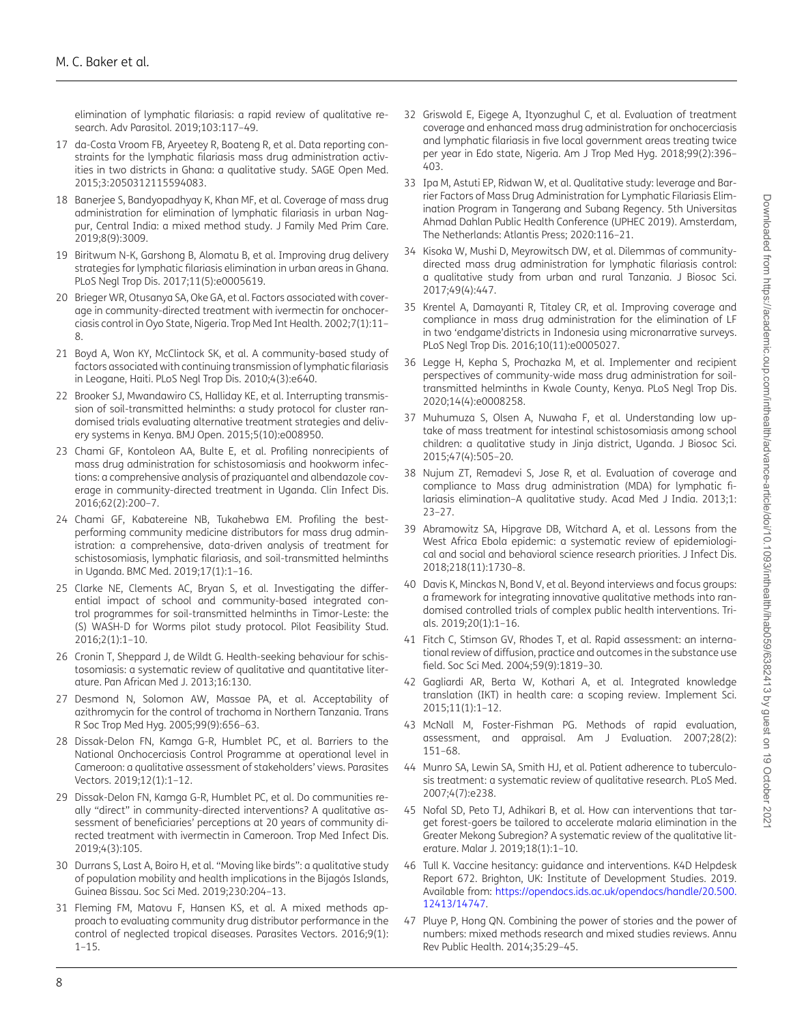elimination of lymphatic filariasis: a rapid review of qualitative research. Adv Parasitol. 2019;103:117–49.

- <span id="page-7-5"></span>17 da-Costa Vroom FB, Aryeetey R, Boateng R, et al. Data reporting constraints for the lymphatic filariasis mass drug administration activities in two districts in Ghana: a qualitative study. SAGE Open Med. 2015;3:2050312115594083.
- <span id="page-7-2"></span>18 Banerjee S, Bandyopadhyay K, Khan MF, et al. Coverage of mass drug administration for elimination of lymphatic filariasis in urban Nagpur, Central India: a mixed method study. J Family Med Prim Care. 2019;8(9):3009.
- <span id="page-7-6"></span>19 Biritwum N-K, Garshong B, Alomatu B, et al. Improving drug delivery strategies for lymphatic filariasis elimination in urban areas in Ghana. PLoS Negl Trop Dis. 2017;11(5):e0005619.
- <span id="page-7-9"></span>20 Brieger WR, Otusanya SA, Oke GA, et al. Factors associated with coverage in community-directed treatment with ivermectin for onchocerciasis control in Oyo State, Nigeria. Trop Med Int Health. 2002;7(1):11– 8.
- <span id="page-7-10"></span>21 Boyd A, Won KY, McClintock SK, et al. A community-based study of factors associated with continuing transmission of lymphatic filariasis in Leogane, Haiti. PLoS Negl Trop Dis. 2010;4(3):e640.
- 22 Brooker SJ, Mwandawiro CS, Halliday KE, et al. Interrupting transmission of soil-transmitted helminths: a study protocol for cluster randomised trials evaluating alternative treatment strategies and delivery systems in Kenya. BMJ Open. 2015;5(10):e008950.
- <span id="page-7-11"></span>23 Chami GF, Kontoleon AA, Bulte E, et al. Profiling nonrecipients of mass drug administration for schistosomiasis and hookworm infections: a comprehensive analysis of praziquantel and albendazole coverage in community-directed treatment in Uganda. Clin Infect Dis. 2016;62(2):200–7.
- <span id="page-7-12"></span>24 Chami GF, Kabatereine NB, Tukahebwa EM. Profiling the bestperforming community medicine distributors for mass drug administration: a comprehensive, data-driven analysis of treatment for schistosomiasis, lymphatic filariasis, and soil-transmitted helminths in Uganda. BMC Med. 2019;17(1):1–16.
- 25 Clarke NE, Clements AC, Bryan S, et al. Investigating the differential impact of school and community-based integrated control programmes for soil-transmitted helminths in Timor-Leste: the (S) WASH-D for Worms pilot study protocol. Pilot Feasibility Stud. 2016;2(1):1–10.
- <span id="page-7-15"></span>26 Cronin T, Sheppard J, de Wildt G. Health-seeking behaviour for schistosomiasis: a systematic review of qualitative and quantitative literature. Pan African Med J. 2013;16:130.
- <span id="page-7-7"></span>27 Desmond N, Solomon AW, Massae PA, et al. Acceptability of azithromycin for the control of trachoma in Northern Tanzania. Trans R Soc Trop Med Hyg. 2005;99(9):656–63.
- <span id="page-7-16"></span>28 Dissak-Delon FN, Kamga G-R, Humblet PC, et al. Barriers to the National Onchocerciasis Control Programme at operational level in Cameroon: a qualitative assessment of stakeholders' views. Parasites Vectors. 2019;12(1):1–12.
- <span id="page-7-3"></span>29 Dissak-Delon FN, Kamga G-R, Humblet PC, et al. Do communities really "direct" in community-directed interventions? A qualitative assessment of beneficiaries' perceptions at 20 years of community directed treatment with ivermectin in Cameroon. Trop Med Infect Dis. 2019;4(3):105.
- 30 Durrans S, Last A, Boiro H, et al. "Moving like birds": a qualitative study of population mobility and health implications in the Bijagós Islands, Guinea Bissau. Soc Sci Med. 2019;230:204–13.
- <span id="page-7-1"></span>31 Fleming FM, Matovu F, Hansen KS, et al. A mixed methods approach to evaluating community drug distributor performance in the control of neglected tropical diseases. Parasites Vectors. 2016;9(1):  $1 - 15$
- <span id="page-7-14"></span>32 Griswold E, Eigege A, Ityonzughul C, et al. Evaluation of treatment coverage and enhanced mass drug administration for onchocerciasis and lymphatic filariasis in five local government areas treating twice per year in Edo state, Nigeria. Am J Trop Med Hyg. 2018;99(2):396– 403.
- <span id="page-7-13"></span>33 Ipa M, Astuti EP, Ridwan W, et al. Qualitative study: leverage and Barrier Factors of Mass Drug Administration for Lymphatic Filariasis Elimination Program in Tangerang and Subang Regency. 5th Universitas Ahmad Dahlan Public Health Conference (UPHEC 2019). Amsterdam, The Netherlands: Atlantis Press; 2020:116–21.
- 34 Kisoka W, Mushi D, Meyrowitsch DW, et al. Dilemmas of communitydirected mass drug administration for lymphatic filariasis control: a qualitative study from urban and rural Tanzania. J Biosoc Sci. 2017;49(4):447.
- <span id="page-7-8"></span>35 Krentel A, Damayanti R, Titaley CR, et al. Improving coverage and compliance in mass drug administration for the elimination of LF in two 'endgame'districts in Indonesia using micronarrative surveys. PLoS Negl Trop Dis. 2016;10(11):e0005027.
- 36 Legge H, Kepha S, Prochazka M, et al. Implementer and recipient perspectives of community-wide mass drug administration for soiltransmitted helminths in Kwale County, Kenya. PLoS Negl Trop Dis. 2020;14(4):e0008258.
- <span id="page-7-4"></span>37 Muhumuza S, Olsen A, Nuwaha F, et al. Understanding low uptake of mass treatment for intestinal schistosomiasis among school children: a qualitative study in Jinja district, Uganda. J Biosoc Sci. 2015;47(4):505–20.
- <span id="page-7-0"></span>38 Nujum ZT, Remadevi S, Jose R, et al. Evaluation of coverage and compliance to Mass drug administration (MDA) for lymphatic filariasis elimination–A qualitative study. Acad Med J India. 2013;1: 23–27.
- <span id="page-7-17"></span>39 Abramowitz SA, Hipgrave DB, Witchard A, et al. Lessons from the West Africa Ebola epidemic: a systematic review of epidemiological and social and behavioral science research priorities. J Infect Dis. 2018;218(11):1730–8.
- 40 Davis K, Minckas N, Bond V, et al. Beyond interviews and focus groups: a framework for integrating innovative qualitative methods into randomised controlled trials of complex public health interventions. Trials. 2019;20(1):1–16.
- 41 Fitch C, Stimson GV, Rhodes T, et al. Rapid assessment: an international review of diffusion, practice and outcomes in the substance use field. Soc Sci Med. 2004;59(9):1819–30.
- 42 Gagliardi AR, Berta W, Kothari A, et al. Integrated knowledge translation (IKT) in health care: a scoping review. Implement Sci. 2015;11(1):1–12.
- 43 McNall M, Foster-Fishman PG. Methods of rapid evaluation, assessment, and appraisal. Am J Evaluation. 2007;28(2): 151–68.
- 44 Munro SA, Lewin SA, Smith HJ, et al. Patient adherence to tuberculosis treatment: a systematic review of qualitative research. PLoS Med. 2007;4(7):e238.
- 45 Nofal SD, Peto TJ, Adhikari B, et al. How can interventions that target forest-goers be tailored to accelerate malaria elimination in the Greater Mekong Subregion? A systematic review of the qualitative literature. Malar J. 2019;18(1):1–10.
- 46 Tull K. Vaccine hesitancy: guidance and interventions. K4D Helpdesk Report 672. Brighton, UK: Institute of Development Studies. 2019. Available from: [https://opendocs.ids.ac.uk/opendocs/handle/20.500.](https://opendocs.ids.ac.uk/opendocs/handle/20.500.12413/14747) 12413/14747.
- 47 Pluye P, Hong QN. Combining the power of stories and the power of numbers: mixed methods research and mixed studies reviews. Annu Rev Public Health. 2014;35:29–45.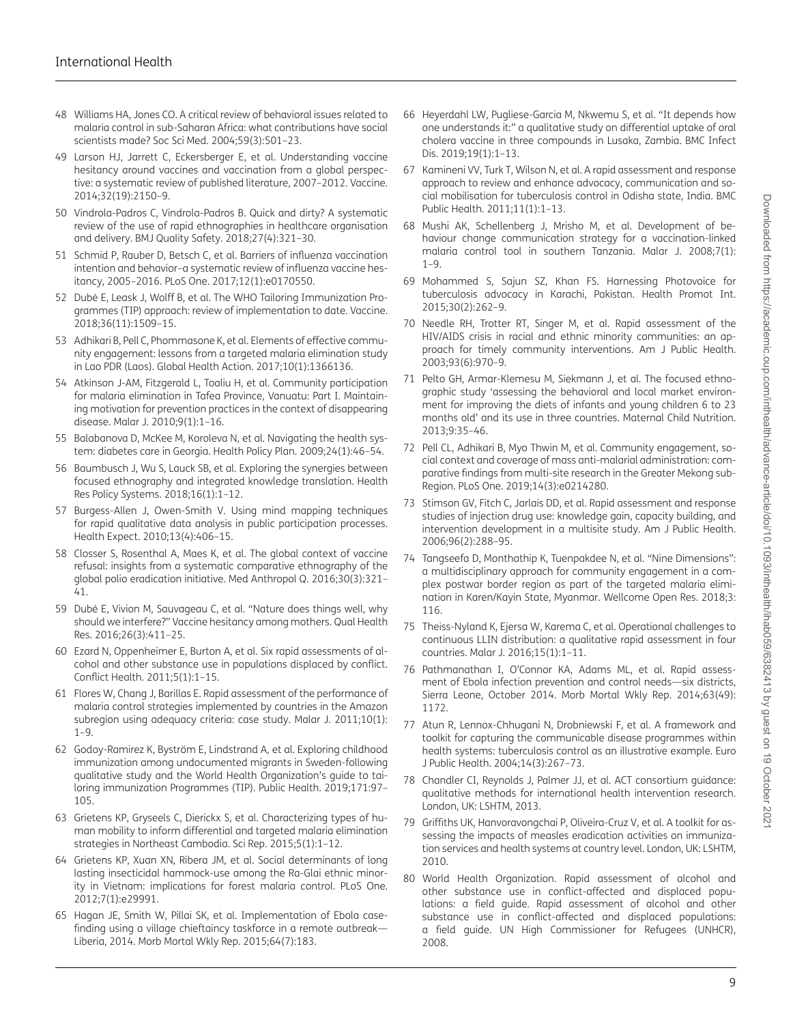- 48 Williams HA, Jones CO. A critical review of behavioral issues related to malaria control in sub-Saharan Africa: what contributions have social scientists made? Soc Sci Med. 2004;59(3):501–23.
- 49 Larson HJ, Jarrett C, Eckersberger E, et al. Understanding vaccine hesitancy around vaccines and vaccination from a global perspective: a systematic review of published literature, 2007–2012. Vaccine. 2014;32(19):2150–9.
- 50 Vindrola-Padros C, Vindrola-Padros B. Quick and dirty? A systematic review of the use of rapid ethnographies in healthcare organisation and delivery. BMJ Quality Safety. 2018;27(4):321–30.
- 51 Schmid P, Rauber D, Betsch C, et al. Barriers of influenza vaccination intention and behavior–a systematic review of influenza vaccine hesitancy, 2005–2016. PLoS One. 2017;12(1):e0170550.
- <span id="page-8-0"></span>52 Dubé E, Leask J, Wolff B, et al. The WHO Tailoring Immunization Programmes (TIP) approach: review of implementation to date. Vaccine. 2018;36(11):1509–15.
- 53 Adhikari B, Pell C, Phommasone K, et al. Elements of effective community engagement: lessons from a targeted malaria elimination study in Lao PDR (Laos). Global Health Action. 2017;10(1):1366136.
- <span id="page-8-4"></span>54 Atkinson J-AM, Fitzgerald L, Toaliu H, et al. Community participation for malaria elimination in Tafea Province, Vanuatu: Part I. Maintaining motivation for prevention practices in the context of disappearing disease. Malar J. 2010;9(1):1–16.
- 55 Balabanova D, McKee M, Koroleva N, et al. Navigating the health system: diabetes care in Georgia. Health Policy Plan. 2009;24(1):46–54.
- <span id="page-8-10"></span>56 Baumbusch J, Wu S, Lauck SB, et al. Exploring the synergies between focused ethnography and integrated knowledge translation. Health Res Policy Systems. 2018;16(1):1–12.
- 57 Burgess-Allen J, Owen-Smith V. Using mind mapping techniques for rapid qualitative data analysis in public participation processes. Health Expect. 2010;13(4):406–15.
- <span id="page-8-14"></span>58 Closser S, Rosenthal A, Maes K, et al. The global context of vaccine refusal: insights from a systematic comparative ethnography of the global polio eradication initiative. Med Anthropol Q. 2016;30(3):321– 41.
- 59 Dubé E, Vivion M, Sauvageau C, et al. "Nature does things well, why should we interfere?" Vaccine hesitancy among mothers. Qual Health Res. 2016;26(3):411–25.
- <span id="page-8-11"></span>60 Ezard N, Oppenheimer E, Burton A, et al. Six rapid assessments of alcohol and other substance use in populations displaced by conflict. Conflict Health. 2011;5(1):1–15.
- <span id="page-8-12"></span>61 Flores W, Chang J, Barillas E. Rapid assessment of the performance of malaria control strategies implemented by countries in the Amazon subregion using adequacy criteria: case study. Malar J. 2011;10(1): 1–9.
- 62 Godoy-Ramirez K, Byström E, Lindstrand A, et al. Exploring childhood immunization among undocumented migrants in Sweden-following qualitative study and the World Health Organization's guide to tailoring immunization Programmes (TIP). Public Health. 2019;171:97– 105.
- 63 Grietens KP, Gryseels C, Dierickx S, et al. Characterizing types of human mobility to inform differential and targeted malaria elimination strategies in Northeast Cambodia. Sci Rep. 2015;5(1):1–12.
- 64 Grietens KP, Xuan XN, Ribera JM, et al. Social determinants of long lasting insecticidal hammock-use among the Ra-Glai ethnic minority in Vietnam: implications for forest malaria control. PLoS One. 2012;7(1):e29991.
- 65 Hagan JE, Smith W, Pillai SK, et al. Implementation of Ebola casefinding using a village chieftaincy taskforce in a remote outbreak— Liberia, 2014. Morb Mortal Wkly Rep. 2015;64(7):183.
- <span id="page-8-5"></span>66 Heyerdahl LW, Pugliese-Garcia M, Nkwemu S, et al. "It depends how one understands it:" a qualitative study on differential uptake of oral cholera vaccine in three compounds in Lusaka, Zambia. BMC Infect Dis. 2019;19(1):1–13.
- <span id="page-8-16"></span>67 Kamineni VV, Turk T, Wilson N, et al. A rapid assessment and response approach to review and enhance advocacy, communication and social mobilisation for tuberculosis control in Odisha state, India. BMC Public Health. 2011;11(1):1–13.
- <span id="page-8-6"></span>68 Mushi AK, Schellenberg J, Mrisho M, et al. Development of behaviour change communication strategy for a vaccination-linked malaria control tool in southern Tanzania. Malar J. 2008;7(1):  $1 - 9$
- <span id="page-8-17"></span>69 Mohammed S, Sajun SZ, Khan FS. Harnessing Photovoice for tuberculosis advocacy in Karachi, Pakistan. Health Promot Int. 2015;30(2):262–9.
- <span id="page-8-8"></span>70 Needle RH, Trotter RT, Singer M, et al. Rapid assessment of the HIV/AIDS crisis in racial and ethnic minority communities: an approach for timely community interventions. Am J Public Health. 2003;93(6):970–9.
- <span id="page-8-7"></span>71 Pelto GH, Armar-Klemesu M, Siekmann J, et al. The focused ethnographic study 'assessing the behavioral and local market environment for improving the diets of infants and young children 6 to 23 months old' and its use in three countries. Maternal Child Nutrition. 2013;9:35–46.
- 72 Pell CL, Adhikari B, Myo Thwin M, et al. Community engagement, social context and coverage of mass anti-malarial administration: comparative findings from multi-site research in the Greater Mekong sub-Region. PLoS One. 2019;14(3):e0214280.
- <span id="page-8-9"></span>73 Stimson GV, Fitch C, Jarlais DD, et al. Rapid assessment and response studies of injection drug use: knowledge gain, capacity building, and intervention development in a multisite study. Am J Public Health. 2006;96(2):288–95.
- <span id="page-8-15"></span>74 Tangseefa D, Monthathip K, Tuenpakdee N, et al. "Nine Dimensions": a multidisciplinary approach for community engagement in a complex postwar border region as part of the targeted malaria elimination in Karen/Kayin State, Myanmar. Wellcome Open Res. 2018;3: 116.
- <span id="page-8-13"></span>75 Theiss-Nyland K, Ejersa W, Karema C, et al. Operational challenges to continuous LLIN distribution: a qualitative rapid assessment in four countries. Malar J. 2016;15(1):1–11.
- <span id="page-8-1"></span>76 Pathmanathan I, O'Connor KA, Adams ML, et al. Rapid assessment of Ebola infection prevention and control needs—six districts, Sierra Leone, October 2014. Morb Mortal Wkly Rep. 2014;63(49): 1172.
- <span id="page-8-2"></span>77 Atun R, Lennox-Chhugani N, Drobniewski F, et al. A framework and toolkit for capturing the communicable disease programmes within health systems: tuberculosis control as an illustrative example. Euro J Public Health. 2004;14(3):267–73.
- 78 Chandler CI, Reynolds J, Palmer JJ, et al. ACT consortium guidance: qualitative methods for international health intervention research. London, UK: LSHTM, 2013.
- 79 Griffiths UK, Hanvoravongchai P, Oliveira-Cruz V, et al. A toolkit for assessing the impacts of measles eradication activities on immunization services and health systems at country level. London, UK: LSHTM, 2010.
- <span id="page-8-3"></span>80 World Health Organization. Rapid assessment of alcohol and other substance use in conflict-affected and displaced populations: a field guide. Rapid assessment of alcohol and other substance use in conflict-affected and displaced populations: a field guide. UN High Commissioner for Refugees (UNHCR), 2008.